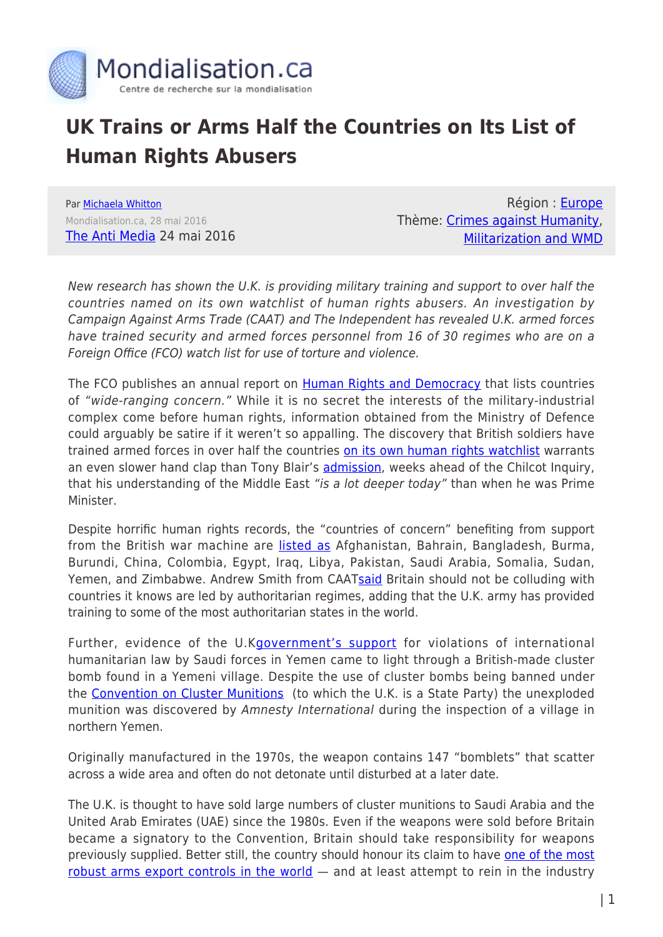

## **UK Trains or Arms Half the Countries on Its List of Human Rights Abusers**

Par [Michaela Whitton](https://www.mondialisation.ca/author/michaela-whitton) Mondialisation.ca, 28 mai 2016 [The Anti Media](http://theantimedia.org/uk-sells-arms-human-rights-abusers/) 24 mai 2016

Région : [Europe](https://www.mondialisation.ca/region/europe) Thème: [Crimes against Humanity](https://www.mondialisation.ca/theme/crimes-against-humanity), [Militarization and WMD](https://www.mondialisation.ca/theme/militarization-and-wmd)

New research has shown the U.K. is providing military training and support to over half the countries named on its own watchlist of human rights abusers. An investigation by Campaign Against Arms Trade (CAAT) and The Independent has revealed U.K. armed forces have trained security and armed forces personnel from 16 of 30 regimes who are on a Foreign Office (FCO) watch list for use of torture and violence.

The FCO publishes an annual report on [Human Rights and Democracy](https://www.gov.uk/government/publications/human-rights-and-democracy-report-2015) that lists countries of "wide-ranging concern." While it is no secret the interests of the military-industrial complex come before human rights, information obtained from the Ministry of Defence could arguably be satire if it weren't so appalling. The discovery that British soldiers have trained armed forces in over half the countries [on its own human rights watchlist](https://www.gov.uk/government/uploads/system/uploads/attachment_data/file/518658/FCO755_Human_Rights_Report_2015_-_WEB.pdf) warrants an even slower hand clap than Tony Blair's [admission,](http://www.theguardian.com/politics/2016/may/24/tony-blair-i-underestimated-forces-of-destabilisation-in-iraq-chilcot-report?CMP=fb_gu) weeks ahead of the Chilcot Inquiry, that his understanding of the Middle East "is a lot deeper today" than when he was Prime Minister.

Despite horrific human rights records, the "countries of concern" benefiting from support from the British war machine are [listed as](http://www.independent.co.uk/news/uk/britain-trains-soldiers-for-most-regimes-on-its-own-human-rights-abuse-watchlist-a7041086.html) Afghanistan, Bahrain, Bangladesh, Burma, Burundi, China, Colombia, Egypt, Iraq, Libya, Pakistan, Saudi Arabia, Somalia, Sudan, Yemen, and Zimbabwe. Andrew Smith from CAAT[said](http://www.independent.co.uk/news/uk/britain-trains-soldiers-for-most-regimes-on-its-own-human-rights-abuse-watchlist-a7041086.html) Britain should not be colluding with countries it knows are led by authoritarian regimes, adding that the U.K. army has provided training to some of the most authoritarian states in the world.

Further, evidence of the U.K[government's support](https://www.caat.org.uk/media/press-releases/2016-04-19) for violations of international humanitarian law by Saudi forces in Yemen came to light through a British-made cluster bomb found in a Yemeni village. Despite the use of cluster bombs being banned under the [Convention on Cluster Munitions](http://www.clusterconvention.org/) (to which the U.K. is a State Party) the unexploded munition was discovered by Amnesty International during the inspection of a village in northern Yemen.

Originally manufactured in the 1970s, the weapon contains 147 "bomblets" that scatter across a wide area and often do not detonate until disturbed at a later date.

The U.K. is thought to have sold large numbers of cluster munitions to Saudi Arabia and the United Arab Emirates (UAE) since the 1980s. Even if the weapons were sold before Britain became a signatory to the Convention, Britain should take responsibility for weapons previously supplied. Better still, the country should honour its claim to have [one of the most](http://www.theguardian.com/world/2016/jan/19/human-rights-groups-condemn-steep-rise-in-uk-arms-sales-to-saudis) [robust arms export controls in the world](http://www.theguardian.com/world/2016/jan/19/human-rights-groups-condemn-steep-rise-in-uk-arms-sales-to-saudis) – and at least attempt to rein in the industry